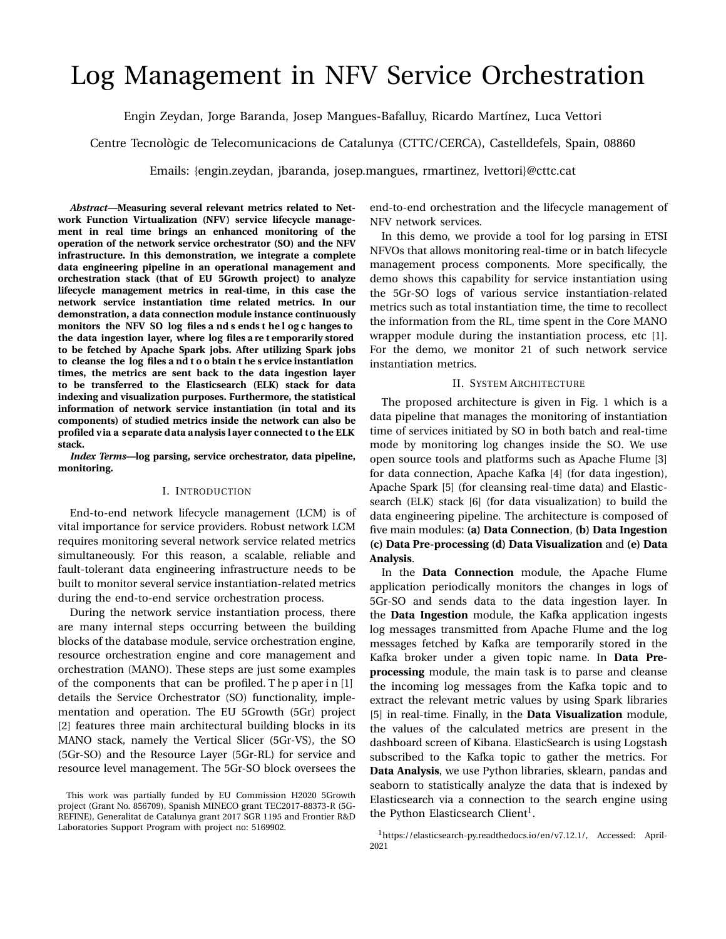# Log Management in NFV Service Orchestration

Engin Zeydan, Jorge Baranda, Josep Mangues-Bafalluy, Ricardo Martínez, Luca Vettori

Centre Tecnològic de Telecomunicacions de Catalunya (CTTC/CERCA), Castelldefels, Spain, 08860

Emails: {engin.zeydan, jbaranda, josep.mangues, rmartinez, lvettori}@cttc.cat

*Abstract***—Measuring several relevant metrics related to Network Function Virtualization (NFV) service lifecycle management in real time brings an enhanced monitoring of the operation of the network service orchestrator (SO) and the NFV infrastructure. In this demonstration, we integrate a complete data engineering pipeline in an operational management and orchestration stack (that of EU 5Growth project) to analyze lifecycle management metrics in real-time, in this case the network service instantiation time related metrics. In our demonstration, a data connection module instance continuously monitors the NFV SO log files a nd s ends t he l og c hanges to the data ingestion layer, where log files a re t emporarily stored to be fetched by Apache Spark jobs. After utilizing Spark jobs to cleanse the log files a nd t o o btain t he s ervice instantiation times, the metrics are sent back to the data ingestion layer to be transferred to the Elasticsearch (ELK) stack for data indexing and visualization purposes. Furthermore, the statistical information of network service instantiation (in total and its components) of studied metrics inside the network can also be profiled v ia a s eparate d ata analysis l ayer connected to the ELK stack.**

*Index Terms***—log parsing, service orchestrator, data pipeline, monitoring.**

#### I. INTRODUCTION

End-to-end network lifecycle management (LCM) is of vital importance for service providers. Robust network LCM requires monitoring several network service related metrics simultaneously. For this reason, a scalable, reliable and fault-tolerant data engineering infrastructure needs to be built to monitor several service instantiation-related metrics during the end-to-end service orchestration process.

During the network service instantiation process, there are many internal steps occurring between the building blocks of the database module, service orchestration engine, resource orchestration engine and core management and orchestration (MANO). These steps are just some examples of the components that can be profiled. T he p aper i n [1] details the Service Orchestrator (SO) functionality, implementation and operation. The EU 5Growth (5Gr) project [2] features three main architectural building blocks in its MANO stack, namely the Vertical Slicer (5Gr-VS), the SO (5Gr-SO) and the Resource Layer (5Gr-RL) for service and resource level management. The 5Gr-SO block oversees the end-to-end orchestration and the lifecycle management of NFV network services.

In this demo, we provide a tool for log parsing in ETSI NFVOs that allows monitoring real-time or in batch lifecycle management process components. More specifically, the demo shows this capability for service instantiation using the 5Gr-SO logs of various service instantiation-related metrics such as total instantiation time, the time to recollect the information from the RL, time spent in the Core MANO wrapper module during the instantiation process, etc [1]. For the demo, we monitor 21 of such network service instantiation metrics.

### II. SYSTEM ARCHITECTURE

The proposed architecture is given in Fig. 1 which is a data pipeline that manages the monitoring of instantiation time of services initiated by SO in both batch and real-time mode by monitoring log changes inside the SO. We use open source tools and platforms such as Apache Flume [3] for data connection, Apache Kafka [4] (for data ingestion), Apache Spark [5] (for cleansing real-time data) and Elasticsearch (ELK) stack [6] (for data visualization) to build the data engineering pipeline. The architecture is composed of five main modules: **(a) Data Connection**, **(b) Data Ingestion (c) Data Pre-processing (d) Data Visualization** and **(e) Data Analysis**.

In the **Data Connection** module, the Apache Flume application periodically monitors the changes in logs of 5Gr-SO and sends data to the data ingestion layer. In the **Data Ingestion** module, the Kafka application ingests log messages transmitted from Apache Flume and the log messages fetched by Kafka are temporarily stored in the Kafka broker under a given topic name. In **Data Preprocessing** module, the main task is to parse and cleanse the incoming log messages from the Kafka topic and to extract the relevant metric values by using Spark libraries [5] in real-time. Finally, in the **Data Visualization** module, the values of the calculated metrics are present in the dashboard screen of Kibana. ElasticSearch is using Logstash subscribed to the Kafka topic to gather the metrics. For **Data Analysis**, we use Python libraries, sklearn, pandas and seaborn to statistically analyze the data that is indexed by Elasticsearch via a connection to the search engine using the Python Elasticsearch Client<sup>1</sup>.

This work was partially funded by EU Commission H2020 5Growth project (Grant No. 856709), Spanish MINECO grant TEC2017-88373-R (5G-REFINE), Generalitat de Catalunya grant 2017 SGR 1195 and Frontier R&D Laboratories Support Program with project no: 5169902.

<sup>1</sup>https://elasticsearch-py.readthedocs.io/en/v7.12.1/, Accessed: April-2021